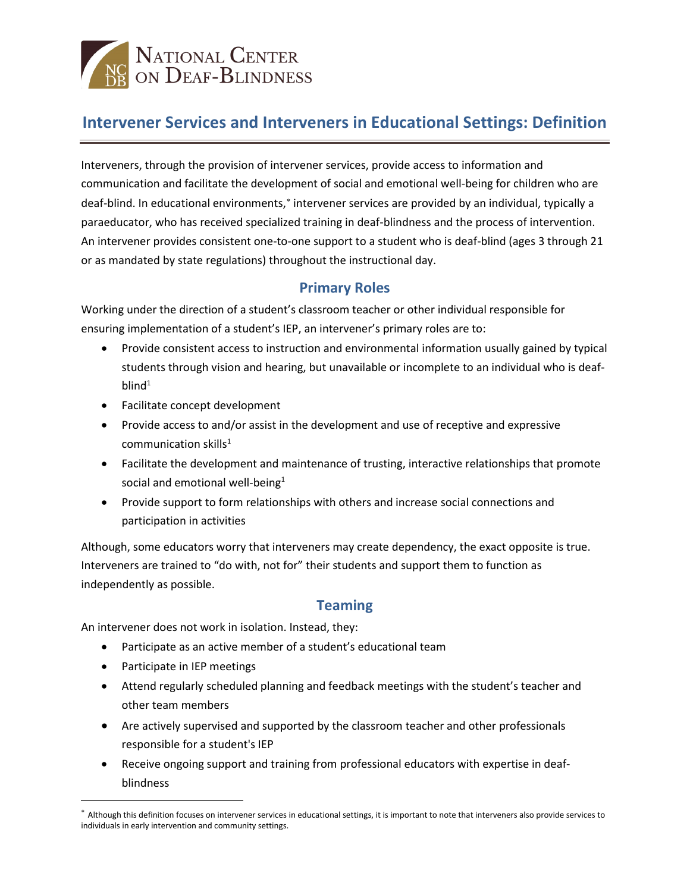# NATIONAL CENTER<br>DE ON DEAF-BLINDNESS

## **Intervener Services and Interveners in Educational Settings: Definition**

Interveners, through the provision of intervener services, provide access to information and communication and facilitate the development of social and emotional well-being for children who are deaf-blind. In educational environments,<sup>\*</sup> intervener services are provided by an individual, typically a paraeducator, who has received specialized training in deaf-blindness and the process of intervention. An intervener provides consistent one-to-one support to a student who is deaf-blind (ages 3 through 21 or as mandated by state regulations) throughout the instructional day.

## **Primary Roles**

Working under the direction of a student's classroom teacher or other individual responsible for ensuring implementation of a student's IEP, an intervener's primary roles are to:

- Provide consistent access to instruction and environmental information usually gained by typical students through vision and hearing, but unavailable or incomplete to an individual who is deaf $blind<sup>1</sup>$
- Facilitate concept development
- Provide access to and/or assist in the development and use of receptive and expressive communication skills<sup>1</sup>
- Facilitate the development and maintenance of trusting, interactive relationships that promote social and emotional well-being $1$
- Provide support to form relationships with others and increase social connections and participation in activities

Although, some educators worry that interveners may create dependency, the exact opposite is true. Interveners are trained to "do with, not for" their students and support them to function as independently as possible.

#### **Teaming**

An intervener does not work in isolation. Instead, they:

- Participate as an active member of a student's educational team
- Participate in IEP meetings

 $\overline{a}$ 

- Attend regularly scheduled planning and feedback meetings with the student's teacher and other team members
- Are actively supervised and supported by the classroom teacher and other professionals responsible for a student's IEP
- Receive ongoing support and training from professional educators with expertise in deafblindness

<span id="page-0-0"></span><sup>∗</sup> Although this definition focuses on intervener services in educational settings, it is important to note that interveners also provide services to individuals in early intervention and community settings.